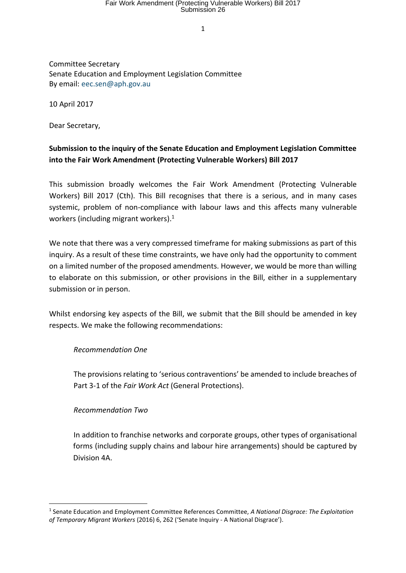# Fair Work Amendment (Protecting Vulnerable Workers) Bill 2017 Submission 26

1

Committee Secretary Senate Education and Employment Legislation Committee By email: eec.sen@aph.gov.au

10 April 2017

Dear Secretary,

## **Submission to the inquiry of the Senate Education and Employment Legislation Committee into the Fair Work Amendment (Protecting Vulnerable Workers) Bill 2017**

This submission broadly welcomes the Fair Work Amendment (Protecting Vulnerable Workers) Bill 2017 (Cth). This Bill recognises that there is a serious, and in many cases systemic, problem of non-compliance with labour laws and this affects many vulnerable workers (including migrant workers). 1

We note that there was a very compressed timeframe for making submissions as part of this inquiry. As a result of these time constraints, we have only had the opportunity to comment on a limited number of the proposed amendments. However, we would be more than willing to elaborate on this submission, or other provisions in the Bill, either in a supplementary submission or in person.

Whilst endorsing key aspects of the Bill, we submit that the Bill should be amended in key respects. We make the following recommendations:

#### *Recommendation One*

The provisions relating to 'serious contraventions' be amended to include breaches of Part 3-1 of the *Fair Work Act* (General Protections).

#### *Recommendation Two*

**.** 

In addition to franchise networks and corporate groups, other types of organisational forms (including supply chains and labour hire arrangements) should be captured by Division 4A.

<sup>1</sup> Senate Education and Employment Committee References Committee, *A National Disgrace: The Exploitation of Temporary Migrant Workers* (2016) 6, 262 ('Senate Inquiry - A National Disgrace').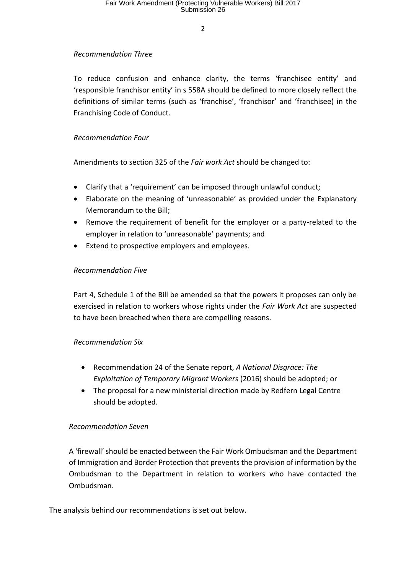$\overline{2}$ 

## *Recommendation Three*

To reduce confusion and enhance clarity, the terms 'franchisee entity' and 'responsible franchisor entity' in s 558A should be defined to more closely reflect the definitions of similar terms (such as 'franchise', 'franchisor' and 'franchisee) in the Franchising Code of Conduct.

## *Recommendation Four*

Amendments to section 325 of the *Fair work Act* should be changed to:

- Clarify that a 'requirement' can be imposed through unlawful conduct;
- Elaborate on the meaning of 'unreasonable' as provided under the Explanatory Memorandum to the Bill;
- Remove the requirement of benefit for the employer or a party-related to the employer in relation to 'unreasonable' payments; and
- Extend to prospective employers and employees.

## *Recommendation Five*

Part 4, Schedule 1 of the Bill be amended so that the powers it proposes can only be exercised in relation to workers whose rights under the *Fair Work Act* are suspected to have been breached when there are compelling reasons.

#### *Recommendation Six*

- Recommendation 24 of the Senate report, *A National Disgrace: The Exploitation of Temporary Migrant Workers* (2016) should be adopted; or
- The proposal for a new ministerial direction made by Redfern Legal Centre should be adopted.

#### *Recommendation Seven*

A 'firewall' should be enacted between the Fair Work Ombudsman and the Department of Immigration and Border Protection that prevents the provision of information by the Ombudsman to the Department in relation to workers who have contacted the Ombudsman.

The analysis behind our recommendations is set out below.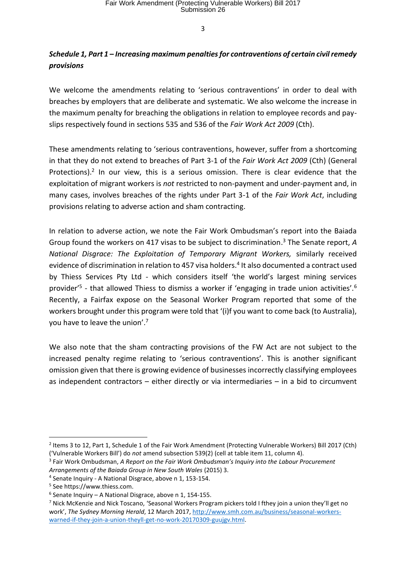## *Schedule 1, Part 1 – Increasing maximum penalties for contraventions of certain civil remedy provisions*

We welcome the amendments relating to 'serious contraventions' in order to deal with breaches by employers that are deliberate and systematic. We also welcome the increase in the maximum penalty for breaching the obligations in relation to employee records and payslips respectively found in sections 535 and 536 of the *Fair Work Act 2009* (Cth).

These amendments relating to 'serious contraventions, however, suffer from a shortcoming in that they do not extend to breaches of Part 3-1 of the *Fair Work Act 2009* (Cth) (General Protections).<sup>2</sup> In our view, this is a serious omission. There is clear evidence that the exploitation of migrant workers is *not* restricted to non-payment and under-payment and, in many cases, involves breaches of the rights under Part 3-1 of the *Fair Work Act*, including provisions relating to adverse action and sham contracting.

In relation to adverse action, we note the Fair Work Ombudsman's report into the Baiada Group found the workers on 417 visas to be subject to discrimination. <sup>3</sup> The Senate report, *A National Disgrace: The Exploitation of Temporary Migrant Workers,* similarly received evidence of discrimination in relation to 457 visa holders.<sup>4</sup> It also documented a contract used by Thiess Services Pty Ltd - which considers itself 'the world's largest mining services provider'<sup>5</sup> - that allowed Thiess to dismiss a worker if 'engaging in trade union activities'.<sup>6</sup> Recently, a Fairfax expose on the Seasonal Worker Program reported that some of the workers brought under this program were told that '(i)f you want to come back (to Australia), you have to leave the union'.<sup>7</sup>

We also note that the sham contracting provisions of the FW Act are not subject to the increased penalty regime relating to 'serious contraventions'. This is another significant omission given that there is growing evidence of businesses incorrectly classifying employees as independent contractors – either directly or via intermediaries – in a bid to circumvent

<sup>&</sup>lt;sup>2</sup> Items 3 to 12, Part 1, Schedule 1 of the Fair Work Amendment (Protecting Vulnerable Workers) Bill 2017 (Cth) ('Vulnerable Workers Bill') do *not* amend subsection 539(2) (cell at table item 11, column 4).

<sup>3</sup> Fair Work Ombudsman, *A Report on the Fair Work Ombudsman's Inquiry into the Labour Procurement Arrangements of the Baiada Group in New South Wales* (2015) 3.

<sup>4</sup> Senate Inquiry - A National Disgrace, above n 1, 153-154.

<sup>5</sup> See https://www.thiess.com.

<sup>6</sup> Senate Inquiry – A National Disgrace, above n 1, 154-155.

<sup>7</sup> Nick McKenzie and Nick Toscano, 'Seasonal Workers Program pickers told I fthey join a union they'll get no work', *The Sydney Morning Herald*, 12 March 2017[, http://www.smh.com.au/business/seasonal-workers](http://www.smh.com.au/business/seasonal-workers-warned-if-they-join-a-union-theyll-get-no-work-20170309-guujgv.html)[warned-if-they-join-a-union-theyll-get-no-work-20170309-guujgv.html.](http://www.smh.com.au/business/seasonal-workers-warned-if-they-join-a-union-theyll-get-no-work-20170309-guujgv.html)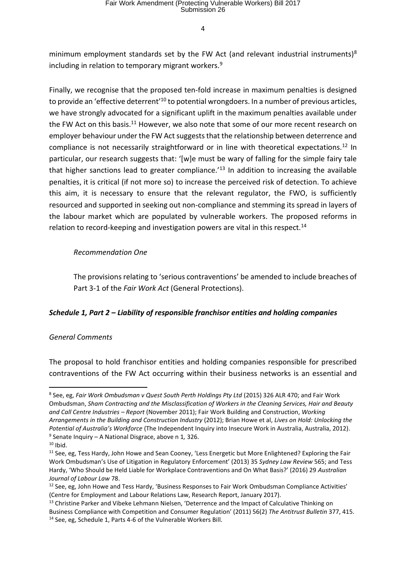minimum employment standards set by the FW Act (and relevant industrial instruments) $8$ including in relation to temporary migrant workers.<sup>9</sup>

Finally, we recognise that the proposed ten-fold increase in maximum penalties is designed to provide an 'effective deterrent'<sup>10</sup> to potential wrongdoers. In a number of previous articles, we have strongly advocated for a significant uplift in the maximum penalties available under the FW Act on this basis.<sup>11</sup> However, we also note that some of our more recent research on employer behaviour under the FW Act suggests that the relationship between deterrence and compliance is not necessarily straightforward or in line with theoretical expectations.<sup>12</sup> In particular, our research suggests that: '[w]e must be wary of falling for the simple fairy tale that higher sanctions lead to greater compliance.<sup>'13</sup> In addition to increasing the available penalties, it is critical (if not more so) to increase the perceived risk of detection. To achieve this aim, it is necessary to ensure that the relevant regulator, the FWO, is sufficiently resourced and supported in seeking out non-compliance and stemming its spread in layers of the labour market which are populated by vulnerable workers. The proposed reforms in relation to record-keeping and investigation powers are vital in this respect.<sup>14</sup>

## *Recommendation One*

The provisions relating to 'serious contraventions' be amended to include breaches of Part 3-1 of the *Fair Work Act* (General Protections).

## *Schedule 1, Part 2 – Liability of responsible franchisor entities and holding companies*

## *General Comments*

The proposal to hold franchisor entities and holding companies responsible for prescribed contraventions of the FW Act occurring within their business networks is an essential and

<sup>8</sup> See, eg, *Fair Work Ombudsman v Quest South Perth Holdings Pty Ltd* (2015) 326 ALR 470; and Fair Work Ombudsman, *Sham Contracting and the Misclassification of Workers in the Cleaning Services, Hair and Beauty and Call Centre Industries – Report* (November 2011); Fair Work Building and Construction, *Working Arrangements in the Building and Construction Industry* (2012); Brian Howe et al, *Lives on Hold: Unlocking the Potential of Australia's Workforce* (The Independent Inquiry into Insecure Work in Australia, Australia, 2012). 9 Senate Inquiry – A National Disgrace, above n 1*,* 326.

 $10$  Ibid.

<sup>&</sup>lt;sup>11</sup> See, eg, Tess Hardy, John Howe and Sean Cooney, 'Less Energetic but More Enlightened? Exploring the Fair Work Ombudsman's Use of Litigation in Regulatory Enforcement' (2013) 35 *Sydney Law Review* 565; and Tess Hardy, 'Who Should be Held Liable for Workplace Contraventions and On What Basis?' (2016) 29 *Australian Journal of Labour Law* 78.

 $12$  See, eg, John Howe and Tess Hardy, 'Business Responses to Fair Work Ombudsman Compliance Activities' (Centre for Employment and Labour Relations Law, Research Report, January 2017).

<sup>&</sup>lt;sup>13</sup> Christine Parker and Vibeke Lehmann Nielsen, 'Deterrence and the Impact of Calculative Thinking on Business Compliance with Competition and Consumer Regulation' (2011) 56(2) *The Antitrust Bulletin* 377, 415. <sup>14</sup> See, eg, Schedule 1, Parts 4-6 of the Vulnerable Workers Bill.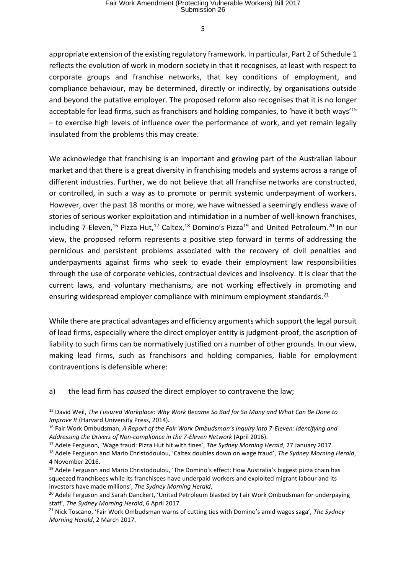appropriate extension of the existing regulatory framework. In particular, Part 2 of Schedule 1 reflects the evolution of work in modern society in that it recognises, at least with respect to corporate groups and franchise networks, that key conditions of employment, and compliance behaviour, may be determined, directly or indirectly, by organisations outside and beyond the putative employer. The proposed reform also recognises that it is no longer acceptable for lead firms, such as franchisors and holding companies, to 'have it both ways'<sup>15</sup> – to exercise high levels of influence over the performance of work, and yet remain legally insulated from the problems this may create.

We acknowledge that franchising is an important and growing part of the Australian labour market and that there is a great diversity in franchising models and systems across a range of different industries. Further, we do not believe that all franchise networks are constructed, or controlled, in such a way as to promote or permit systemic underpayment of workers. However, over the past 18 months or more, we have witnessed a seemingly endless wave of stories of serious worker exploitation and intimidation in a number of well-known franchises, including 7-Eleven.<sup>16</sup> Pizza Hut.<sup>17</sup> Caltex.<sup>18</sup> Domino's Pizza<sup>19</sup> and United Petroleum.<sup>20</sup> In our view, the proposed reform represents a positive step forward in terms of addressing the pernicious and persistent problems associated with the recovery of civil penalties and underpayments against firms who seek to evade their employment law responsibilities through the use of corporate vehicles, contractual devices and insolvency. It is clear that the current laws, and voluntary mechanisms, are not working effectively in promoting and ensuring widespread employer compliance with minimum employment standards.<sup>21</sup>

While there are practical advantages and efficiency arguments which support the legal pursuit of lead firms, especially where the direct employer entity is judgment-proof, the ascription of liability to such firms can be normatively justified on a number of other grounds. In our view, making lead firms, such as franchisors and holding companies, liable for employment contraventions is defensible where:

a) the lead firm has *caused* the direct employer to contravene the law;

 $\overline{\phantom{a}}$ 

<sup>15</sup> David Weil, *The Fissured Workplace: Why Work Became So Bad for So Many and What Can Be Done to Improve It* (Harvard University Press, 2014).

<sup>16</sup> Fair Work Ombudsman, *A Report of the Fair Work Ombudsman's Inquiry into 7-Eleven: Identifying and*  Addressing the Drivers of Non-compliance in the 7-Eleven Network (April 2016).

<sup>17</sup> Adele Ferguson, 'Wage fraud: Pizza Hut hit with fines', *The Sydney Morning Herald*, 27 January 2017.

<sup>18</sup> Adele Ferguson and Mario Christodoulou, 'Caltex doubles down on wage fraud', *The Sydney Morning Herald*, 4 November 2016.

 $19$  Adele Ferguson and Mario Christodoulou, 'The Domino's effect: How Australia's biggest pizza chain has squeezed franchisees while its franchisees have underpaid workers and exploited migrant labour and its investors have made millions', *The Sydney Morning Herald*,

<sup>&</sup>lt;sup>20</sup> Adele Ferguson and Sarah Danckert, 'United Petroleum blasted by Fair Work Ombudsman for underpaying staff', *The Sydney Morning Herald*, 6 April 2017.

<sup>21</sup> Nick Toscano, 'Fair Work Ombudsman warns of cutting ties with Domino's amid wages saga', *The Sydney Morning Herald*, 2 March 2017.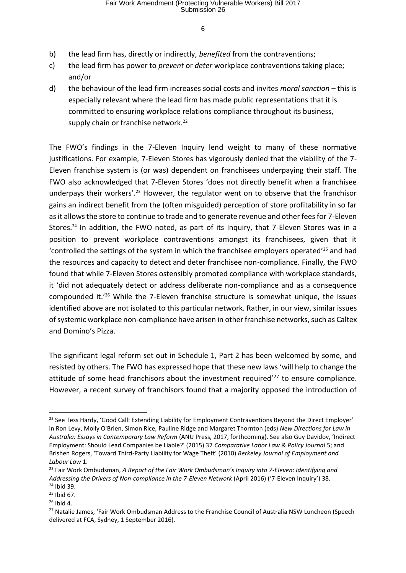- b) the lead firm has, directly or indirectly, *benefited* from the contraventions;
- c) the lead firm has power to *prevent* or *deter* workplace contraventions taking place; and/or
- d) the behaviour of the lead firm increases social costs and invites *moral sanction* this is especially relevant where the lead firm has made public representations that it is committed to ensuring workplace relations compliance throughout its business, supply chain or franchise network.<sup>22</sup>

The FWO's findings in the 7-Eleven Inquiry lend weight to many of these normative justifications. For example, 7-Eleven Stores has vigorously denied that the viability of the 7- Eleven franchise system is (or was) dependent on franchisees underpaying their staff. The FWO also acknowledged that 7-Eleven Stores 'does not directly benefit when a franchisee underpays their workers'.<sup>23</sup> However, the regulator went on to observe that the franchisor gains an indirect benefit from the (often misguided) perception of store profitability in so far as it allows the store to continue to trade and to generate revenue and other fees for 7-Eleven Stores.<sup>24</sup> In addition, the FWO noted, as part of its Inquiry, that 7-Eleven Stores was in a position to prevent workplace contraventions amongst its franchisees, given that it 'controlled the settings of the system in which the franchisee employers operated'<sup>25</sup> and had the resources and capacity to detect and deter franchisee non-compliance. Finally, the FWO found that while 7-Eleven Stores ostensibly promoted compliance with workplace standards, it 'did not adequately detect or address deliberate non-compliance and as a consequence compounded it.'<sup>26</sup> While the 7-Eleven franchise structure is somewhat unique, the issues identified above are not isolated to this particular network. Rather, in our view, similar issues of systemic workplace non-compliance have arisen in other franchise networks, such as Caltex and Domino's Pizza.

The significant legal reform set out in Schedule 1, Part 2 has been welcomed by some, and resisted by others. The FWO has expressed hope that these new laws 'will help to change the attitude of some head franchisors about the investment required<sup>'27</sup> to ensure compliance. However, a recent survey of franchisors found that a majority opposed the introduction of

<sup>&</sup>lt;sup>22</sup> See Tess Hardy, 'Good Call: Extending Liability for Employment Contraventions Beyond the Direct Employer' in Ron Levy, Molly O'Brien, Simon Rice, Pauline Ridge and Margaret Thornton (eds) *New Directions for Law in Australia: Essays in Contemporary Law Reform* (ANU Press, 2017, forthcoming). See also Guy Davidov, 'Indirect Employment: Should Lead Companies be Liable?' (2015) 37 *Comparative Labor Law & Policy Journal* 5; and Brishen Rogers, 'Toward Third-Party Liability for Wage Theft' (2010) *Berkeley Journal of Employment and Labour Law* 1.

<sup>23</sup> Fair Work Ombudsman, *A Report of the Fair Work Ombudsman's Inquiry into 7-Eleven: Identifying and Addressing the Drivers of Non-compliance in the 7-Eleven Network* (April 2016) ('7-Eleven Inquiry') 38. <sup>24</sup> Ibid 39.

 $25$  Ibid 67.

 $26$  Ibid 4.

<sup>&</sup>lt;sup>27</sup> Natalie James, 'Fair Work Ombudsman Address to the Franchise Council of Australia NSW Luncheon (Speech delivered at FCA, Sydney, 1 September 2016).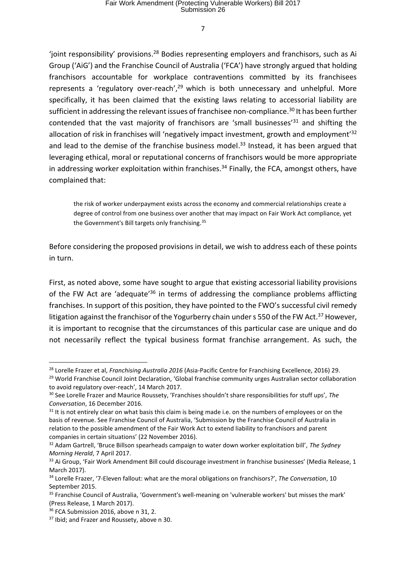'joint responsibility' provisions.<sup>28</sup> Bodies representing employers and franchisors, such as Ai Group ('AiG') and the Franchise Council of Australia ('FCA') have strongly argued that holding franchisors accountable for workplace contraventions committed by its franchisees represents a 'regulatory over-reach',<sup>29</sup> which is both unnecessary and unhelpful. More specifically, it has been claimed that the existing laws relating to accessorial liability are sufficient in addressing the relevant issues of franchisee non-compliance.<sup>30</sup> It has been further contended that the vast majority of franchisors are 'small businesses'<sup>31</sup> and shifting the allocation of risk in franchises will 'negatively impact investment, growth and employment<sup>'32</sup> and lead to the demise of the franchise business model.<sup>33</sup> Instead, it has been argued that leveraging ethical, moral or reputational concerns of franchisors would be more appropriate in addressing worker exploitation within franchises.<sup>34</sup> Finally, the FCA, amongst others, have complained that:

the risk of worker underpayment exists across the economy and commercial relationships create a degree of control from one business over another that may impact on Fair Work Act compliance, yet the Government's Bill targets only franchising.<sup>35</sup>

Before considering the proposed provisions in detail, we wish to address each of these points in turn.

First, as noted above, some have sought to argue that existing accessorial liability provisions of the FW Act are 'adequate'<sup>36</sup> in terms of addressing the compliance problems afflicting franchises. In support of this position, they have pointed to the FWO's successful civil remedy litigation against the franchisor of the Yogurberry chain under s 550 of the FW Act.<sup>37</sup> However, it is important to recognise that the circumstances of this particular case are unique and do not necessarily reflect the typical business format franchise arrangement. As such, the

 $\overline{\phantom{a}}$ 

<sup>28</sup> Lorelle Frazer et al, *Franchising Australia 2016* (Asia-Pacific Centre for Franchising Excellence, 2016) 29.

<sup>&</sup>lt;sup>29</sup> World Franchise Council Joint Declaration, 'Global franchise community urges Australian sector collaboration to avoid regulatory over-reach', 14 March 2017.

<sup>30</sup> See Lorelle Frazer and Maurice Roussety, 'Franchises shouldn't share responsibilities for stuff ups', *The Conversation*, 16 December 2016.

 $31$  It is not entirely clear on what basis this claim is being made i.e. on the numbers of employees or on the basis of revenue. See Franchise Council of Australia, 'Submission by the Franchise Council of Australia in relation to the possible amendment of the Fair Work Act to extend liability to franchisors and parent companies in certain situations' (22 November 2016).

<sup>32</sup> Adam Gartrell, 'Bruce Billson spearheads campaign to water down worker exploitation bill', *The Sydney Morning Herald*, 7 April 2017.

<sup>&</sup>lt;sup>33</sup> Ai Group, 'Fair Work Amendment Bill could discourage investment in franchise businesses' (Media Release, 1 March 2017).

<sup>34</sup> Lorelle Frazer, '7-Eleven fallout: what are the moral obligations on franchisors?', *The Conversation*, 10 September 2015.

<sup>&</sup>lt;sup>35</sup> Franchise Council of Australia, 'Government's well-meaning on 'vulnerable workers' but misses the mark' (Press Release, 1 March 2017).

<sup>&</sup>lt;sup>36</sup> FCA Submission 2016, above n 31, 2.

<sup>&</sup>lt;sup>37</sup> Ibid: and Frazer and Roussety, above n 30.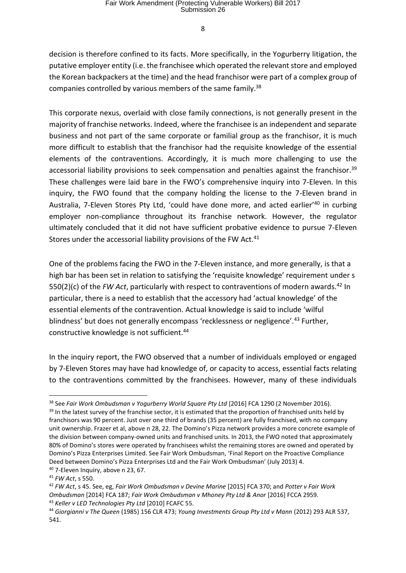decision is therefore confined to its facts. More specifically, in the Yogurberry litigation, the putative employer entity (i.e. the franchisee which operated the relevant store and employed the Korean backpackers at the time) and the head franchisor were part of a complex group of companies controlled by various members of the same family.<sup>38</sup>

This corporate nexus, overlaid with close family connections, is not generally present in the majority of franchise networks. Indeed, where the franchisee is an independent and separate business and not part of the same corporate or familial group as the franchisor, it is much more difficult to establish that the franchisor had the requisite knowledge of the essential elements of the contraventions. Accordingly, it is much more challenging to use the accessorial liability provisions to seek compensation and penalties against the franchisor.<sup>39</sup> These challenges were laid bare in the FWO's comprehensive inquiry into 7-Eleven. In this inquiry, the FWO found that the company holding the license to the 7-Eleven brand in Australia, 7-Eleven Stores Pty Ltd, 'could have done more, and acted earlier<sup>'40</sup> in curbing employer non-compliance throughout its franchise network. However, the regulator ultimately concluded that it did not have sufficient probative evidence to pursue 7-Eleven Stores under the accessorial liability provisions of the FW Act.<sup>41</sup>

One of the problems facing the FWO in the 7-Eleven instance, and more generally, is that a high bar has been set in relation to satisfying the 'requisite knowledge' requirement under s 550(2)(c) of the *FW Act*, particularly with respect to contraventions of modern awards.<sup>42</sup> In particular, there is a need to establish that the accessory had 'actual knowledge' of the essential elements of the contravention. Actual knowledge is said to include 'wilful blindness' but does not generally encompass 'recklessness or negligence'.<sup>43</sup> Further, constructive knowledge is not sufficient.<sup>44</sup>

In the inquiry report, the FWO observed that a number of individuals employed or engaged by 7-Eleven Stores may have had knowledge of, or capacity to access, essential facts relating to the contraventions committed by the franchisees. However, many of these individuals

**<sup>.</sup>** <sup>38</sup> See Fair Work Ombudsman v Yogurberry World Square Pty Ltd [2016] FCA 1290 (2 November 2016).

 $39$  In the latest survey of the franchise sector, it is estimated that the proportion of franchised units held by franchisors was 90 percent. Just over one third of brands (35 percent) are fully franchised, with no company unit ownership. Frazer et al, above n 28, 22. The Domino's Pizza network provides a more concrete example of the division between company-owned units and franchised units. In 2013, the FWO noted that approximately 80% of Domino's stores were operated by franchisees whilst the remaining stores are owned and operated by Domino's Pizza Enterprises Limited. See Fair Work Ombudsman, 'Final Report on the Proactive Compliance Deed between Domino's Pizza Enterprises Ltd and the Fair Work Ombudsman' (July 2013) 4.  $40$  7-Eleven Inquiry, above n 23, 67.

<sup>41</sup> *FW Act*, s 550.

<sup>42</sup> *FW Act*, s 45. See, eg, *Fair Work Ombudsman v Devine Marine* [2015] FCA 370; and *Potter v Fair Work Ombudsman* [2014] FCA 187; *Fair Work Ombudsman v Mhoney Pty Ltd & Anor* [2016] FCCA 2959. <sup>43</sup> *Keller v LED Technologies Pty Ltd* [2010] FCAFC 55.

<sup>44</sup> *Giorgianni v The Queen* (1985) 156 CLR 473; *Young Investments Group Pty Ltd v Mann* (2012) 293 ALR 537, 541.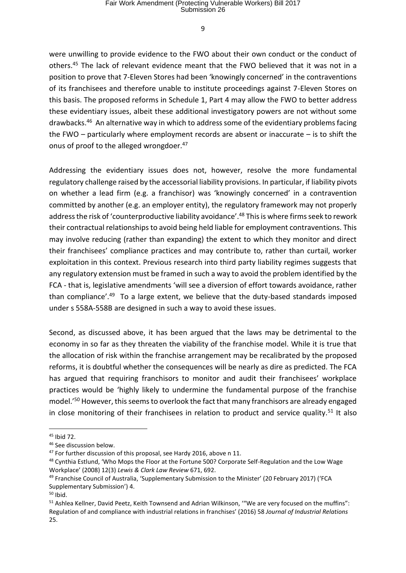were unwilling to provide evidence to the FWO about their own conduct or the conduct of others.<sup>45</sup> The lack of relevant evidence meant that the FWO believed that it was not in a position to prove that 7-Eleven Stores had been 'knowingly concerned' in the contraventions of its franchisees and therefore unable to institute proceedings against 7-Eleven Stores on this basis. The proposed reforms in Schedule 1, Part 4 may allow the FWO to better address these evidentiary issues, albeit these additional investigatory powers are not without some drawbacks. <sup>46</sup> An alternative way in which to address some of the evidentiary problems facing the FWO – particularly where employment records are absent or inaccurate – is to shift the onus of proof to the alleged wrongdoer.<sup>47</sup>

Addressing the evidentiary issues does not, however, resolve the more fundamental regulatory challenge raised by the accessorial liability provisions. In particular, if liability pivots on whether a lead firm (e.g. a franchisor) was 'knowingly concerned' in a contravention committed by another (e.g. an employer entity), the regulatory framework may not properly address the risk of 'counterproductive liability avoidance'.<sup>48</sup> This is where firms seek to rework their contractual relationships to avoid being held liable for employment contraventions. This may involve reducing (rather than expanding) the extent to which they monitor and direct their franchisees' compliance practices and may contribute to, rather than curtail, worker exploitation in this context. Previous research into third party liability regimes suggests that any regulatory extension must be framed in such a way to avoid the problem identified by the FCA - that is, legislative amendments 'will see a diversion of effort towards avoidance, rather than compliance'.<sup>49</sup> To a large extent, we believe that the duty-based standards imposed under s 558A-558B are designed in such a way to avoid these issues.

Second, as discussed above, it has been argued that the laws may be detrimental to the economy in so far as they threaten the viability of the franchise model. While it is true that the allocation of risk within the franchise arrangement may be recalibrated by the proposed reforms, it is doubtful whether the consequences will be nearly as dire as predicted. The FCA has argued that requiring franchisors to monitor and audit their franchisees' workplace practices would be 'highly likely to undermine the fundamental purpose of the franchise model.'<sup>50</sup> However, this seems to overlook the fact that many franchisors are already engaged in close monitoring of their franchisees in relation to product and service quality.<sup>51</sup> It also

<sup>45</sup> Ibid 72.

<sup>46</sup> See discussion below.

<sup>&</sup>lt;sup>47</sup> For further discussion of this proposal, see Hardy 2016, above n 11.

<sup>&</sup>lt;sup>48</sup> Cynthia Estlund, 'Who Mops the Floor at the Fortune 500? Corporate Self-Regulation and the Low Wage Workplace' (2008) 12(3) *Lewis & Clark Law Review* 671, 692.

<sup>49</sup> Franchise Council of Australia, 'Supplementary Submission to the Minister' (20 February 2017) ('FCA Supplementary Submission') 4.

 $50$  Ibid.

<sup>&</sup>lt;sup>51</sup> Ashlea Kellner, David Peetz, Keith Townsend and Adrian Wilkinson, "We are very focused on the muffins": Regulation of and compliance with industrial relations in franchises' (2016) 58 *Journal of Industrial Relations*  25.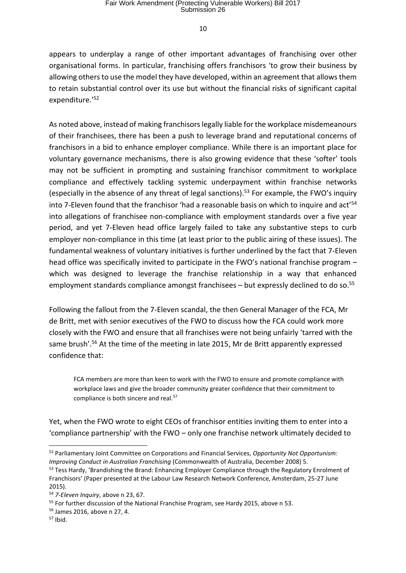appears to underplay a range of other important advantages of franchising over other organisational forms. In particular, franchising offers franchisors 'to grow their business by allowing others to use the model they have developed, within an agreement that allows them to retain substantial control over its use but without the financial risks of significant capital expenditure.'<sup>52</sup>

As noted above, instead of making franchisors legally liable for the workplace misdemeanours of their franchisees, there has been a push to leverage brand and reputational concerns of franchisors in a bid to enhance employer compliance. While there is an important place for voluntary governance mechanisms, there is also growing evidence that these 'softer' tools may not be sufficient in prompting and sustaining franchisor commitment to workplace compliance and effectively tackling systemic underpayment within franchise networks (especially in the absence of any threat of legal sanctions). <sup>53</sup> For example, the FWO's inquiry into 7-Eleven found that the franchisor 'had a reasonable basis on which to inquire and act<sup>'54</sup> into allegations of franchisee non-compliance with employment standards over a five year period, and yet 7-Eleven head office largely failed to take any substantive steps to curb employer non-compliance in this time (at least prior to the public airing of these issues). The fundamental weakness of voluntary initiatives is further underlined by the fact that 7-Eleven head office was specifically invited to participate in the FWO's national franchise program which was designed to leverage the franchise relationship in a way that enhanced employment standards compliance amongst franchisees - but expressly declined to do so.<sup>55</sup>

Following the fallout from the 7-Eleven scandal, the then General Manager of the FCA, Mr de Britt, met with senior executives of the FWO to discuss how the FCA could work more closely with the FWO and ensure that all franchises were not being unfairly 'tarred with the same brush'.<sup>56</sup> At the time of the meeting in late 2015, Mr de Britt apparently expressed confidence that:

FCA members are more than keen to work with the FWO to ensure and promote compliance with workplace laws and give the broader community greater confidence that their commitment to compliance is both sincere and real.<sup>57</sup>

Yet, when the FWO wrote to eight CEOs of franchisor entities inviting them to enter into a 'compliance partnership' with the FWO – only one franchise network ultimately decided to

<sup>52</sup> Parliamentary Joint Committee on Corporations and Financial Services, *Opportunity Not Opportunism: Improving Conduct in Australian Franchising* (Commonwealth of Australia, December 2008) 5.

<sup>&</sup>lt;sup>53</sup> Tess Hardy, 'Brandishing the Brand: Enhancing Employer Compliance through the Regulatory Enrolment of Franchisors' (Paper presented at the Labour Law Research Network Conference, Amsterdam, 25-27 June 2015).

<sup>54</sup> *7-Eleven Inquiry*, above n 23, 67.

<sup>&</sup>lt;sup>55</sup> For further discussion of the National Franchise Program, see Hardy 2015, above n 53.

<sup>56</sup> James 2016, above n 27, 4.

 $57$  Ibid.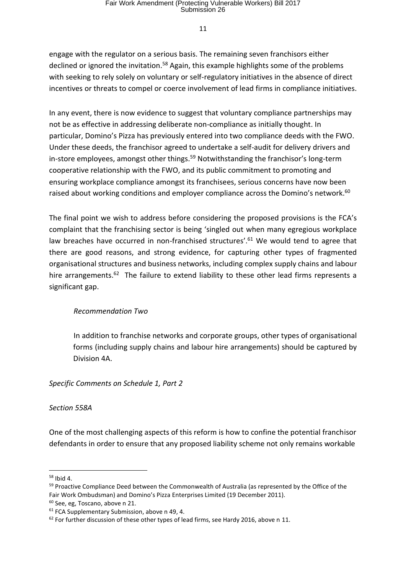engage with the regulator on a serious basis. The remaining seven franchisors either declined or ignored the invitation.<sup>58</sup> Again, this example highlights some of the problems with seeking to rely solely on voluntary or self-regulatory initiatives in the absence of direct incentives or threats to compel or coerce involvement of lead firms in compliance initiatives.

In any event, there is now evidence to suggest that voluntary compliance partnerships may not be as effective in addressing deliberate non-compliance as initially thought. In particular, Domino's Pizza has previously entered into two compliance deeds with the FWO. Under these deeds, the franchisor agreed to undertake a self-audit for delivery drivers and in-store employees, amongst other things.<sup>59</sup> Notwithstanding the franchisor's long-term cooperative relationship with the FWO, and its public commitment to promoting and ensuring workplace compliance amongst its franchisees, serious concerns have now been raised about working conditions and employer compliance across the Domino's network.<sup>60</sup>

The final point we wish to address before considering the proposed provisions is the FCA's complaint that the franchising sector is being 'singled out when many egregious workplace law breaches have occurred in non-franchised structures'.<sup>61</sup> We would tend to agree that there are good reasons, and strong evidence, for capturing other types of fragmented organisational structures and business networks, including complex supply chains and labour hire arrangements.<sup>62</sup> The failure to extend liability to these other lead firms represents a significant gap.

## *Recommendation Two*

In addition to franchise networks and corporate groups, other types of organisational forms (including supply chains and labour hire arrangements) should be captured by Division 4A.

*Specific Comments on Schedule 1, Part 2*

## *Section 558A*

One of the most challenging aspects of this reform is how to confine the potential franchisor defendants in order to ensure that any proposed liability scheme not only remains workable

**<sup>.</sup>** <sup>58</sup> Ibid 4.

<sup>&</sup>lt;sup>59</sup> Proactive Compliance Deed between the Commonwealth of Australia (as represented by the Office of the Fair Work Ombudsman) and Domino's Pizza Enterprises Limited (19 December 2011).

<sup>60</sup> See, eg, Toscano, above n 21.

<sup>&</sup>lt;sup>61</sup> FCA Supplementary Submission, above n 49, 4.

 $62$  For further discussion of these other types of lead firms, see Hardy 2016, above n 11.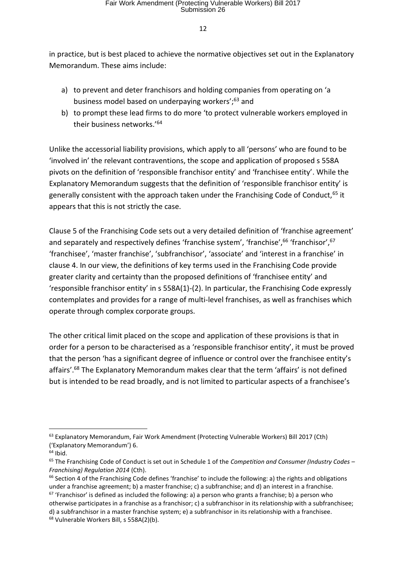in practice, but is best placed to achieve the normative objectives set out in the Explanatory Memorandum. These aims include:

- a) to prevent and deter franchisors and holding companies from operating on 'a business model based on underpaying workers';<sup>63</sup> and
- b) to prompt these lead firms to do more 'to protect vulnerable workers employed in their business networks.'<sup>64</sup>

Unlike the accessorial liability provisions, which apply to all 'persons' who are found to be 'involved in' the relevant contraventions, the scope and application of proposed s 558A pivots on the definition of 'responsible franchisor entity' and 'franchisee entity'. While the Explanatory Memorandum suggests that the definition of 'responsible franchisor entity' is generally consistent with the approach taken under the Franchising Code of Conduct, 65 it appears that this is not strictly the case.

Clause 5 of the Franchising Code sets out a very detailed definition of 'franchise agreement' and separately and respectively defines 'franchise system', 'franchise', <sup>66</sup> 'franchisor', <sup>67</sup> 'franchisee', 'master franchise', 'subfranchisor', 'associate' and 'interest in a franchise' in clause 4. In our view, the definitions of key terms used in the Franchising Code provide greater clarity and certainty than the proposed definitions of 'franchisee entity' and 'responsible franchisor entity' in s 558A(1)-(2). In particular, the Franchising Code expressly contemplates and provides for a range of multi-level franchises, as well as franchises which operate through complex corporate groups.

The other critical limit placed on the scope and application of these provisions is that in order for a person to be characterised as a 'responsible franchisor entity', it must be proved that the person 'has a significant degree of influence or control over the franchisee entity's affairs'.<sup>68</sup> The Explanatory Memorandum makes clear that the term 'affairs' is not defined but is intended to be read broadly, and is not limited to particular aspects of a franchisee's

<sup>63</sup> Explanatory Memorandum, Fair Work Amendment (Protecting Vulnerable Workers) Bill 2017 (Cth) ('Explanatory Memorandum') 6.

 $64$  Ibid.

<sup>65</sup> The Franchising Code of Conduct is set out in Schedule 1 of the *Competition and Consumer (Industry Codes – Franchising) Regulation 2014* (Cth).

 $66$  Section 4 of the Franchising Code defines 'franchise' to include the following: a) the rights and obligations under a franchise agreement; b) a master franchise; c) a subfranchise; and d) an interest in a franchise.

 $67$  'Franchisor' is defined as included the following: a) a person who grants a franchise; b) a person who otherwise participates in a franchise as a franchisor; c) a subfranchisor in its relationship with a subfranchisee; d) a subfranchisor in a master franchise system; e) a subfranchisor in its relationship with a franchisee. <sup>68</sup> Vulnerable Workers Bill, s 558A(2)(b).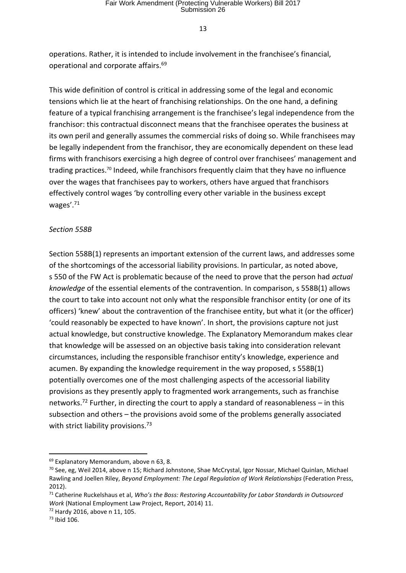operations. Rather, it is intended to include involvement in the franchisee's financial, operational and corporate affairs.<sup>69</sup>

This wide definition of control is critical in addressing some of the legal and economic tensions which lie at the heart of franchising relationships. On the one hand, a defining feature of a typical franchising arrangement is the franchisee's legal independence from the franchisor: this contractual disconnect means that the franchisee operates the business at its own peril and generally assumes the commercial risks of doing so. While franchisees may be legally independent from the franchisor, they are economically dependent on these lead firms with franchisors exercising a high degree of control over franchisees' management and trading practices.<sup>70</sup> Indeed, while franchisors frequently claim that they have no influence over the wages that franchisees pay to workers, others have argued that franchisors effectively control wages 'by controlling every other variable in the business except wages'.<sup>71</sup>

#### *Section 558B*

Section 558B(1) represents an important extension of the current laws, and addresses some of the shortcomings of the accessorial liability provisions. In particular, as noted above, s 550 of the FW Act is problematic because of the need to prove that the person had *actual knowledge* of the essential elements of the contravention. In comparison, s 558B(1) allows the court to take into account not only what the responsible franchisor entity (or one of its officers) 'knew' about the contravention of the franchisee entity, but what it (or the officer) 'could reasonably be expected to have known'. In short, the provisions capture not just actual knowledge, but constructive knowledge. The Explanatory Memorandum makes clear that knowledge will be assessed on an objective basis taking into consideration relevant circumstances, including the responsible franchisor entity's knowledge, experience and acumen. By expanding the knowledge requirement in the way proposed, s 558B(1) potentially overcomes one of the most challenging aspects of the accessorial liability provisions as they presently apply to fragmented work arrangements, such as franchise networks.<sup>72</sup> Further, in directing the court to apply a standard of reasonableness – in this subsection and others – the provisions avoid some of the problems generally associated with strict liability provisions.<sup>73</sup>

<sup>69</sup> Explanatory Memorandum, above n 63, 8.

<sup>70</sup> See, eg, Weil 2014, above n 15; Richard Johnstone, Shae McCrystal, Igor Nossar, Michael Quinlan, Michael Rawling and Joellen Riley, *Beyond Employment: The Legal Regulation of Work Relationships* (Federation Press, 2012).

<sup>71</sup> Catherine Ruckelshaus et al, *Who's the Boss: Restoring Accountability for Labor Standards in Outsourced Work* (National Employment Law Project, Report, 2014) 11.

<sup>72</sup> Hardy 2016, above n 11, 105.

<sup>73</sup> Ibid 106.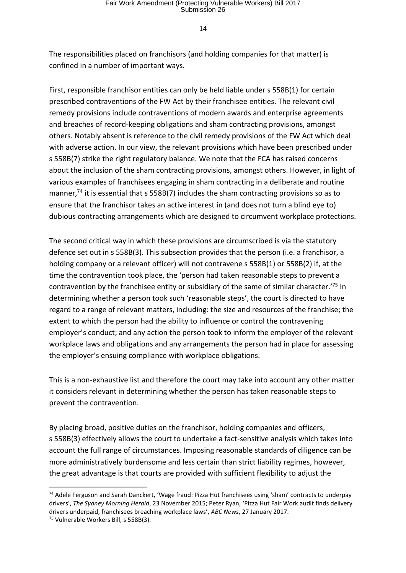The responsibilities placed on franchisors (and holding companies for that matter) is confined in a number of important ways.

First, responsible franchisor entities can only be held liable under s 558B(1) for certain prescribed contraventions of the FW Act by their franchisee entities. The relevant civil remedy provisions include contraventions of modern awards and enterprise agreements and breaches of record-keeping obligations and sham contracting provisions, amongst others. Notably absent is reference to the civil remedy provisions of the FW Act which deal with adverse action. In our view, the relevant provisions which have been prescribed under s 558B(7) strike the right regulatory balance. We note that the FCA has raised concerns about the inclusion of the sham contracting provisions, amongst others. However, in light of various examples of franchisees engaging in sham contracting in a deliberate and routine manner,<sup>74</sup> it is essential that s 558B(7) includes the sham contracting provisions so as to ensure that the franchisor takes an active interest in (and does not turn a blind eye to) dubious contracting arrangements which are designed to circumvent workplace protections.

The second critical way in which these provisions are circumscribed is via the statutory defence set out in s 558B(3). This subsection provides that the person (i.e. a franchisor, a holding company or a relevant officer) will not contravene s 558B(1) or 558B(2) if, at the time the contravention took place, the 'person had taken reasonable steps to prevent a contravention by the franchisee entity or subsidiary of the same of similar character.<sup>'75</sup> In determining whether a person took such 'reasonable steps', the court is directed to have regard to a range of relevant matters, including: the size and resources of the franchise; the extent to which the person had the ability to influence or control the contravening employer's conduct; and any action the person took to inform the employer of the relevant workplace laws and obligations and any arrangements the person had in place for assessing the employer's ensuing compliance with workplace obligations.

This is a non-exhaustive list and therefore the court may take into account any other matter it considers relevant in determining whether the person has taken reasonable steps to prevent the contravention.

By placing broad, positive duties on the franchisor, holding companies and officers, s 558B(3) effectively allows the court to undertake a fact-sensitive analysis which takes into account the full range of circumstances. Imposing reasonable standards of diligence can be more administratively burdensome and less certain than strict liability regimes, however, the great advantage is that courts are provided with sufficient flexibility to adjust the

<sup>74</sup> Adele Ferguson and Sarah Danckert, 'Wage fraud: Pizza Hut franchisees using 'sham' contracts to underpay drivers', *The Sydney Morning Herald*, 23 November 2015; Peter Ryan, 'Pizza Hut Fair Work audit finds delivery drivers underpaid, franchisees breaching workplace laws', *ABC News*, 27 January 2017.

<sup>75</sup> Vulnerable Workers Bill, s 558B(3).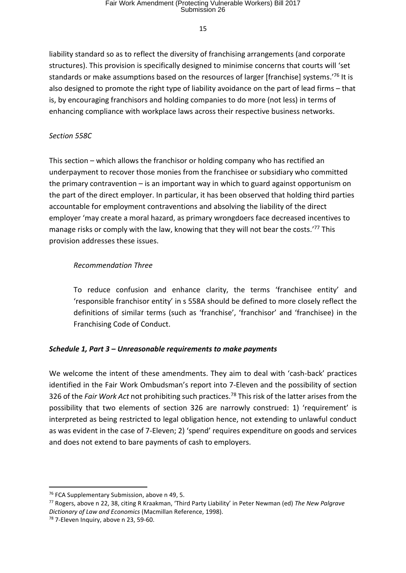liability standard so as to reflect the diversity of franchising arrangements (and corporate structures). This provision is specifically designed to minimise concerns that courts will 'set standards or make assumptions based on the resources of larger [franchise] systems.' <sup>76</sup> It is also designed to promote the right type of liability avoidance on the part of lead firms – that is, by encouraging franchisors and holding companies to do more (not less) in terms of enhancing compliance with workplace laws across their respective business networks.

## *Section 558C*

This section – which allows the franchisor or holding company who has rectified an underpayment to recover those monies from the franchisee or subsidiary who committed the primary contravention – is an important way in which to guard against opportunism on the part of the direct employer. In particular, it has been observed that holding third parties accountable for employment contraventions and absolving the liability of the direct employer 'may create a moral hazard, as primary wrongdoers face decreased incentives to manage risks or comply with the law, knowing that they will not bear the costs.'<sup>77</sup> This provision addresses these issues.

## *Recommendation Three*

To reduce confusion and enhance clarity, the terms 'franchisee entity' and 'responsible franchisor entity' in s 558A should be defined to more closely reflect the definitions of similar terms (such as 'franchise', 'franchisor' and 'franchisee) in the Franchising Code of Conduct.

## *Schedule 1, Part 3 – Unreasonable requirements to make payments*

We welcome the intent of these amendments. They aim to deal with 'cash-back' practices identified in the Fair Work Ombudsman's report into 7-Eleven and the possibility of section 326 of the *Fair Work Act* not prohibiting such practices.<sup>78</sup> This risk of the latter arises from the possibility that two elements of section 326 are narrowly construed: 1) 'requirement' is interpreted as being restricted to legal obligation hence, not extending to unlawful conduct as was evident in the case of 7-Eleven; 2) 'spend' requires expenditure on goods and services and does not extend to bare payments of cash to employers.

<sup>&</sup>lt;sup>76</sup> FCA Supplementary Submission, above n 49, 5.

<sup>77</sup> Rogers, above n 22, 38, citing R Kraakman, 'Third Party Liability' in Peter Newman (ed) *The New Palgrave Dictionary of Law and Economics* (Macmillan Reference, 1998).

<sup>78</sup> 7-Eleven Inquiry, above n 23, 59-60.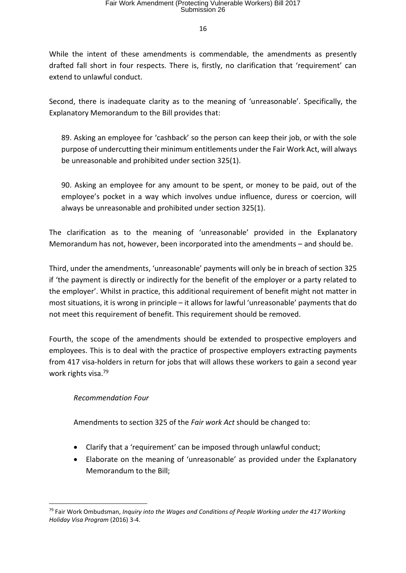While the intent of these amendments is commendable, the amendments as presently drafted fall short in four respects. There is, firstly, no clarification that 'requirement' can extend to unlawful conduct.

Second, there is inadequate clarity as to the meaning of 'unreasonable'. Specifically, the Explanatory Memorandum to the Bill provides that:

89. Asking an employee for 'cashback' so the person can keep their job, or with the sole purpose of undercutting their minimum entitlements under the Fair Work Act, will always be unreasonable and prohibited under section 325(1).

90. Asking an employee for any amount to be spent, or money to be paid, out of the employee's pocket in a way which involves undue influence, duress or coercion, will always be unreasonable and prohibited under section 325(1).

The clarification as to the meaning of 'unreasonable' provided in the Explanatory Memorandum has not, however, been incorporated into the amendments – and should be.

Third, under the amendments, 'unreasonable' payments will only be in breach of section 325 if 'the payment is directly or indirectly for the benefit of the employer or a party related to the employer'. Whilst in practice, this additional requirement of benefit might not matter in most situations, it is wrong in principle – it allows for lawful 'unreasonable' payments that do not meet this requirement of benefit. This requirement should be removed.

Fourth, the scope of the amendments should be extended to prospective employers and employees. This is to deal with the practice of prospective employers extracting payments from 417 visa-holders in return for jobs that will allows these workers to gain a second year work rights visa.<sup>79</sup>

## *Recommendation Four*

Amendments to section 325 of the *Fair work Act* should be changed to:

- Clarify that a 'requirement' can be imposed through unlawful conduct;
- Elaborate on the meaning of 'unreasonable' as provided under the Explanatory Memorandum to the Bill;

**<sup>.</sup>** <sup>79</sup> Fair Work Ombudsman, *Inquiry into the Wages and Conditions of People Working under the 417 Working Holiday Visa Program* (2016) 3-4.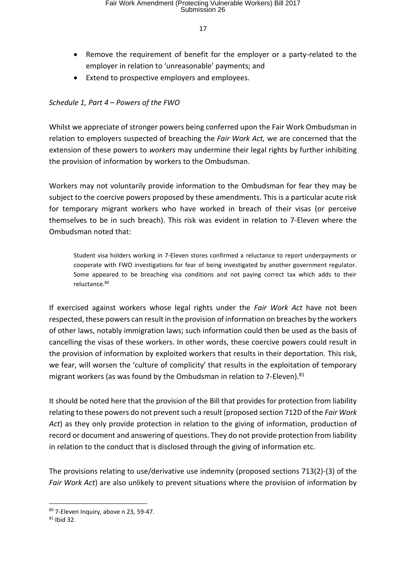- Remove the requirement of benefit for the employer or a party-related to the employer in relation to 'unreasonable' payments; and
- Extend to prospective employers and employees.

## *Schedule 1, Part 4 – Powers of the FWO*

Whilst we appreciate of stronger powers being conferred upon the Fair Work Ombudsman in relation to employers suspected of breaching the *Fair Work Act,* we are concerned that the extension of these powers to *workers* may undermine their legal rights by further inhibiting the provision of information by workers to the Ombudsman.

Workers may not voluntarily provide information to the Ombudsman for fear they may be subject to the coercive powers proposed by these amendments. This is a particular acute risk for temporary migrant workers who have worked in breach of their visas (or perceive themselves to be in such breach). This risk was evident in relation to 7-Eleven where the Ombudsman noted that:

Student visa holders working in 7-Eleven stores confirmed a reluctance to report underpayments or cooperate with FWO investigations for fear of being investigated by another government regulator. Some appeared to be breaching visa conditions and not paying correct tax which adds to their reluctance.<sup>80</sup>

If exercised against workers whose legal rights under the *Fair Work Act* have not been respected, these powers can result in the provision of information on breaches by the workers of other laws, notably immigration laws; such information could then be used as the basis of cancelling the visas of these workers. In other words, these coercive powers could result in the provision of information by exploited workers that results in their deportation. This risk, we fear, will worsen the 'culture of complicity' that results in the exploitation of temporary migrant workers (as was found by the Ombudsman in relation to 7-Eleven).<sup>81</sup>

It should be noted here that the provision of the Bill that provides for protection from liability relating to these powers do not prevent such a result (proposed section 712D of the *Fair Work Act*) as they only provide protection in relation to the giving of information, production of record or document and answering of questions. They do not provide protection from liability in relation to the conduct that is disclosed through the giving of information etc.

The provisions relating to use/derivative use indemnity (proposed sections 713(2)-(3) of the *Fair Work Act*) are also unlikely to prevent situations where the provision of information by

<sup>80</sup> 7-Eleven Inquiry, above n 23, 59-47.

<sup>81</sup> Ibid 32.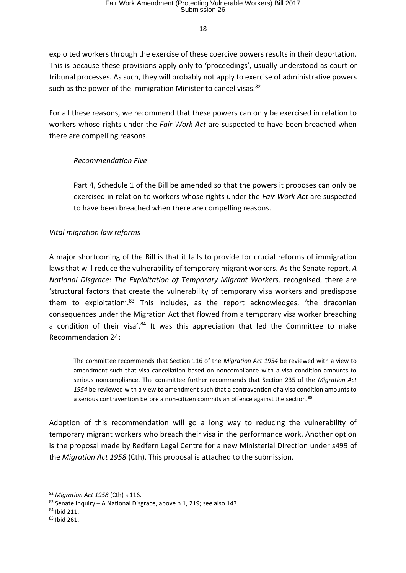exploited workers through the exercise of these coercive powers results in their deportation. This is because these provisions apply only to 'proceedings', usually understood as court or tribunal processes. As such, they will probably not apply to exercise of administrative powers such as the power of the Immigration Minister to cancel visas.<sup>82</sup>

For all these reasons, we recommend that these powers can only be exercised in relation to workers whose rights under the *Fair Work Act* are suspected to have been breached when there are compelling reasons.

## *Recommendation Five*

Part 4, Schedule 1 of the Bill be amended so that the powers it proposes can only be exercised in relation to workers whose rights under the *Fair Work Act* are suspected to have been breached when there are compelling reasons.

## *Vital migration law reforms*

A major shortcoming of the Bill is that it fails to provide for crucial reforms of immigration laws that will reduce the vulnerability of temporary migrant workers. As the Senate report, *A National Disgrace: The Exploitation of Temporary Migrant Workers,* recognised, there are 'structural factors that create the vulnerability of temporary visa workers and predispose them to exploitation'.<sup>83</sup> This includes, as the report acknowledges, 'the draconian consequences under the Migration Act that flowed from a temporary visa worker breaching a condition of their visa'. $84$  It was this appreciation that led the Committee to make Recommendation 24:

The committee recommends that Section 116 of the *Migration Act 1954* be reviewed with a view to amendment such that visa cancellation based on noncompliance with a visa condition amounts to serious noncompliance. The committee further recommends that Section 235 of the *Migration Act 1954* be reviewed with a view to amendment such that a contravention of a visa condition amounts to a serious contravention before a non-citizen commits an offence against the section.<sup>85</sup>

Adoption of this recommendation will go a long way to reducing the vulnerability of temporary migrant workers who breach their visa in the performance work. Another option is the proposal made by Redfern Legal Centre for a new Ministerial Direction under s499 of the *Migration Act 1958* (Cth). This proposal is attached to the submission.

<sup>82</sup> *Migration Act 1958* (Cth) s 116.

<sup>83</sup> Senate Inquiry - A National Disgrace, above n 1, 219; see also 143.

<sup>84</sup> Ibid 211.

<sup>85</sup> Ibid 261.